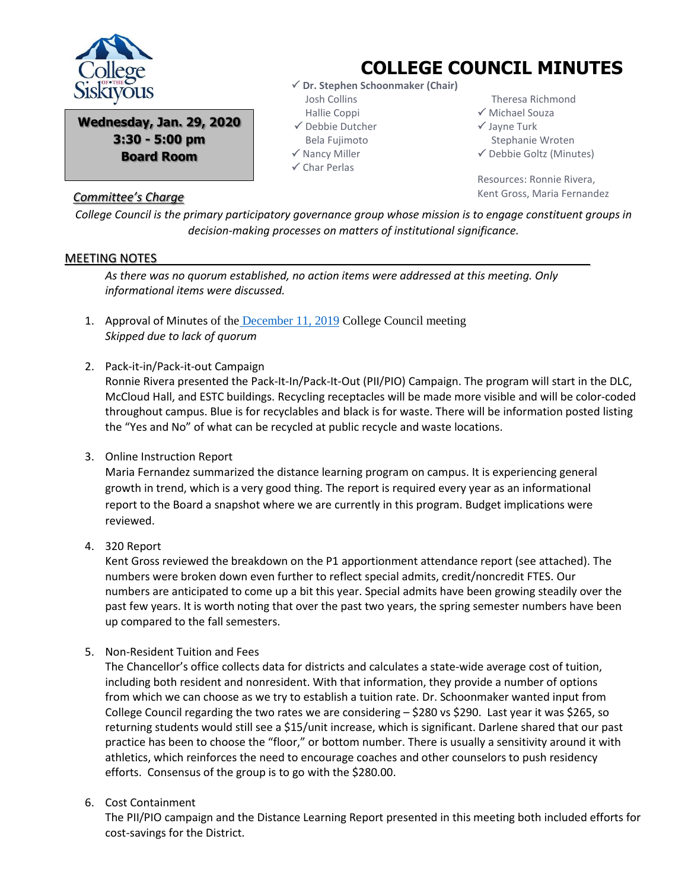

**Wednesday, Jan. 29, 2020 3:30 - 5:00 pm Board Room**

## *Committee's Charge*

## **COLLEGE COUNCIL MINUTES**

- **Dr. Stephen Schoonmaker (Chair)** Josh Collins Hallie Coppi
- $\checkmark$  Debbie Dutcher
- Bela Fujimoto
- $\checkmark$  Nancy Miller
- $\checkmark$  Char Perlas

 Theresa Richmond Michael Souza

- $\checkmark$  Jayne Turk
- Stephanie Wroten
- $\checkmark$  Debbie Goltz (Minutes)

Resources: Ronnie Rivera, Kent Gross, Maria Fernandez

*College Council is the primary participatory governance group whose mission is to engage constituent groups in decision-making processes on matters of institutional significance.*

## MEETING NOTES

*As there was no quorum established, no action items were addressed at this meeting. Only informational items were discussed.*

- 1. Approval of Minutes of the [December 11, 2019](file:///C:/Users/dgoltz/OneDrive%20-%20siskiyous.edu/Documents/College%20Council/2019-2020/Agendas%202019-2020/CC%2012-4-19/College%20Council%20minutes%2012-4-19.pdf) College Council meeting *Skipped due to lack of quorum*
- 2. Pack-it-in/Pack-it-out Campaign

Ronnie Rivera presented the Pack-It-In/Pack-It-Out (PII/PIO) Campaign. The program will start in the DLC, McCloud Hall, and ESTC buildings. Recycling receptacles will be made more visible and will be color-coded throughout campus. Blue is for recyclables and black is for waste. There will be information posted listing the "Yes and No" of what can be recycled at public recycle and waste locations.

3. Online Instruction Report

Maria Fernandez summarized the distance learning program on campus. It is experiencing general growth in trend, which is a very good thing. The report is required every year as an informational report to the Board a snapshot where we are currently in this program. Budget implications were reviewed.

4. 320 Report

Kent Gross reviewed the breakdown on the P1 apportionment attendance report (see attached). The numbers were broken down even further to reflect special admits, credit/noncredit FTES. Our numbers are anticipated to come up a bit this year. Special admits have been growing steadily over the past few years. It is worth noting that over the past two years, the spring semester numbers have been up compared to the fall semesters.

5. Non-Resident Tuition and Fees

The Chancellor's office collects data for districts and calculates a state-wide average cost of tuition, including both resident and nonresident. With that information, they provide a number of options from which we can choose as we try to establish a tuition rate. Dr. Schoonmaker wanted input from College Council regarding the two rates we are considering – \$280 vs \$290. Last year it was \$265, so returning students would still see a \$15/unit increase, which is significant. Darlene shared that our past practice has been to choose the "floor," or bottom number. There is usually a sensitivity around it with athletics, which reinforces the need to encourage coaches and other counselors to push residency efforts. Consensus of the group is to go with the \$280.00.

6. Cost Containment

The PII/PIO campaign and the Distance Learning Report presented in this meeting both included efforts for cost-savings for the District.